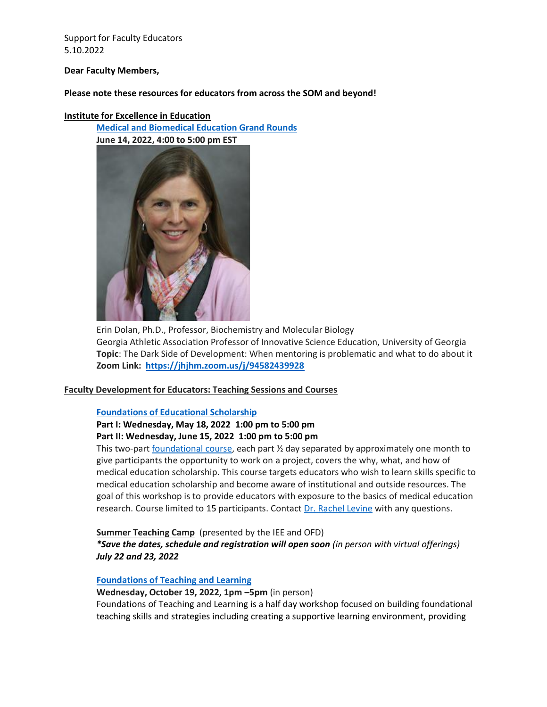#### **Dear Faculty Members,**

### **Please note these resources for educators from across the SOM and beyond!**

#### **Institute for Excellence in Education**

**[Medical and Biomedical Education Grand Rounds](https://www.hopkinsmedicine.org/institute_excellence_education/community-building/grand-rounds.html)**



Erin Dolan, Ph.D., Professor, Biochemistry and Molecular Biology Georgia Athletic Association Professor of Innovative Science Education, University of Georgia **Topic**: The Dark Side of Development: When mentoring is problematic and what to do about it **Zoom Link: <https://jhjhm.zoom.us/j/94582439928>**

### **Faculty Development for Educators: Teaching Sessions and Courses**

### **[Foundations of Educational Scholarship](https://hopkinscme.cloud-cme.com/course/courseoverview?P=0&EID=38935)**

## **Part I: Wednesday, May 18, 2022 1:00 pm to 5:00 pm Part II: Wednesday, June 15, 2022 1:00 pm to 5:00 pm**

This two-part [foundational course,](https://www.hopkinsmedicine.org/institute_excellence_education/scholarship-research/foundations-of-educational-scholarship.html) each part  $\frac{1}{2}$  day separated by approximately one month to give participants the opportunity to work on a project, covers the why, what, and how of medical education scholarship. This course targets educators who wish to learn skills specific to medical education scholarship and become aware of institutional and outside resources. The goal of this workshop is to provide educators with exposure to the basics of medical education research. Course limited to 15 participants. Contact [Dr. Rachel Levine](mailto:rlevine@jhmi.edu) with any questions.

### **Summer Teaching Camp** (presented by the IEE and OFD)

*\*Save the dates, schedule and registration will open soon (in person with virtual offerings) July 22 and 23, 2022*

### **[Foundations of Teaching and Learning](https://hopkinscme.cloud-cme.com/course/courseoverview?P=0&EID=38878)**

### **Wednesday, October 19, 2022, 1pm –5pm** (in person)

Foundations of Teaching and Learning is a half day workshop focused on building foundational teaching skills and strategies including creating a supportive learning environment, providing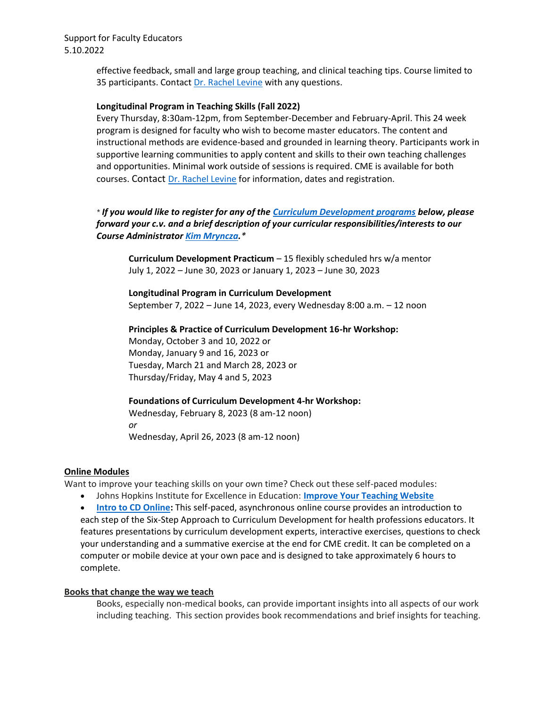> effective feedback, small and large group teaching, and clinical teaching tips. Course limited to 35 participants. Contact [Dr. Rachel Levine](mailto:rlevine@jhmi.edu) with any questions.

### **Longitudinal Program in Teaching Skills (Fall 2022)**

Every Thursday, 8:30am-12pm, from September-December and February-April. This 24 week program is designed for faculty who wish to become master educators. The content and instructional methods are evidence-based and grounded in learning theory. Participants work in supportive learning communities to apply content and skills to their own teaching challenges and opportunities. Minimal work outside of sessions is required. CME is available for both courses. Contact [Dr. Rachel Levine](mailto:rlevine@jhmi.edu) for information, dates and registration.

# *\* If you would like to register for any of the [Curriculum Development programs](https://hopkinsbayviewinternalmedicine.org/programs/faculty-development-johns-hopkins-bayview-internal-medicine/curriculum-development-program/curriculum-development-program-offerings/) below, please forward your c.v. and a brief description of your curricular responsibilities/interests to our Course Administrato[r Kim Mryncza.](mailto:kmryncz1@jhmi.edu?subject=Curriculum%20Development%20Programs)\**

**Curriculum Development Practicum** – 15 flexibly scheduled hrs w/a mentor July 1, 2022 – June 30, 2023 or January 1, 2023 – June 30, 2023

**Longitudinal Program in Curriculum Development** September 7, 2022 – June 14, 2023, every Wednesday 8:00 a.m. – 12 noon

### **Principles & Practice of Curriculum Development 16-hr Workshop:**

Monday, October 3 and 10, 2022 or Monday, January 9 and 16, 2023 or Tuesday, March 21 and March 28, 2023 or Thursday/Friday, May 4 and 5, 2023

# **Foundations of Curriculum Development 4-hr Workshop:**

Wednesday, February 8, 2023 (8 am-12 noon) *or* Wednesday, April 26, 2023 (8 am-12 noon)

### **Online Modules**

Want to improve your teaching skills on your own time? Check out these self-paced modules:

• Johns Hopkins Institute for Excellence in Education: **[Improve Your Teaching Website](https://improveteaching.med.jhmi.edu/)**

• **[Intro to CD Online:](https://hopkinsbayviewinternalmedicine.org/programs/faculty-development-johns-hopkins-bayview-internal-medicine/curriculum-development-program/curriculum-development-program-offerings/)** This self-paced, asynchronous online course provides an introduction to each step of the Six-Step Approach to Curriculum Development for health professions educators. It features presentations by curriculum development experts, interactive exercises, questions to check your understanding and a summative exercise at the end for CME credit. It can be completed on a computer or mobile device at your own pace and is designed to take approximately 6 hours to complete.

### **Books that change the way we teach**

Books, especially non-medical books, can provide important insights into all aspects of our work including teaching. This section provides book recommendations and brief insights for teaching.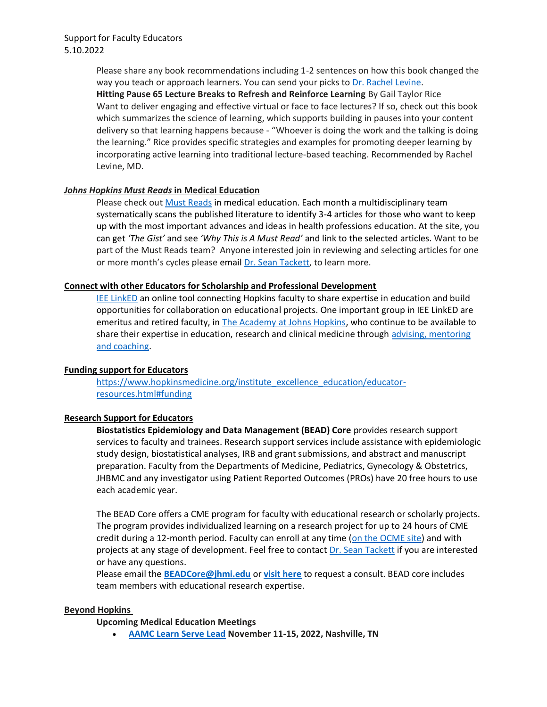Please share any book recommendations including 1-2 sentences on how this book changed the way you teach or approach learners. You can send your picks to [Dr. Rachel Levine.](mailto:rlevine@jhmi.edu?subject=Books%20that%20change%20the%20way%20we%20teach) **Hitting Pause 65 Lecture Breaks to Refresh and Reinforce Learning** By Gail Taylor Rice Want to deliver engaging and effective virtual or face to face lectures? If so, check out this book which summarizes the science of learning, which supports building in pauses into your content delivery so that learning happens because - "Whoever is doing the work and the talking is doing the learning." Rice provides specific strategies and examples for promoting deeper learning by incorporating active learning into traditional lecture-based teaching. Recommended by Rachel Levine, MD.

### *Johns Hopkins Must Reads* **in Medical Education**

Please check out [Must Reads](https://hopkinsbayviewinternalmedicine.org/must-reads/) in medical education. Each month a multidisciplinary team systematically scans the published literature to identify 3-4 articles for those who want to keep up with the most important advances and ideas in health professions education. At the site, you can get *'The Gist'* and see *'Why This is A Must Read'* and link to the selected articles. Want to be part of the Must Reads team? Anyone interested join in reviewing and selecting articles for one or more month's cycles please email [Dr. Sean Tackett,](mailto:stacket1@jhmi.edu?subject=Johns%20Hopkins%20Must%20Reads) to learn more.

### **Connect with other Educators for Scholarship and Professional Development**

[IEE LinkED](https://bit.ly/IEELink) an online tool connecting Hopkins faculty to share expertise in education and build opportunities for collaboration on educational projects. One important group in IEE LinkED are emeritus and retired faculty, in [The Academy at Johns Hopkins,](https://www.hopkinsmedicine.org/the-academy/) who continue to be available to share their expertise in education, research and clinical medicine through advising, mentoring [and coaching.](https://bit.ly/AcadMS)

### **Funding support for Educators**

[https://www.hopkinsmedicine.org/institute\\_excellence\\_education/educator](https://www.hopkinsmedicine.org/institute_excellence_education/educator-resources.html#funding)[resources.html#funding](https://www.hopkinsmedicine.org/institute_excellence_education/educator-resources.html#funding) 

### **Research Support for Educators**

**Biostatistics Epidemiology and Data Management (BEAD) Core** provides research support services to faculty and trainees. Research support services include assistance with epidemiologic study design, biostatistical analyses, IRB and grant submissions, and abstract and manuscript preparation. Faculty from the Departments of Medicine, Pediatrics, Gynecology & Obstetrics, JHBMC and any investigator using Patient Reported Outcomes (PROs) have 20 free hours to use each academic year.

The BEAD Core offers a CME program for faculty with educational research or scholarly projects. The program provides individualized learning on a research project for up to 24 hours of CME credit during a 12-month period. Faculty can enroll at any time [\(on the OCME site\)](https://hopkinscme.cloud-cme.com/course/courseoverview?P=0&EID=32263) and with projects at any stage of development. Feel free to contact [Dr. Sean Tackett](mailto:stacket1@jhmi.edu?subject=BEAD%20Core) if you are interested or have any questions.

Please email the **[BEADCore@jhmi.edu](mailto:BEADCore@jhmi.edu)** or **[visit here](http://beadcore.jhu.edu/services/sign-up-for-services/)** to request a consult. BEAD core includes team members with educational research expertise.

### **Beyond Hopkins**

### **Upcoming Medical Education Meetings**

• **[AAMC Learn Serve Lead](https://www.aamc.org/professional-development/events/learn-serve-lead) November 11-15, 2022, Nashville, TN**